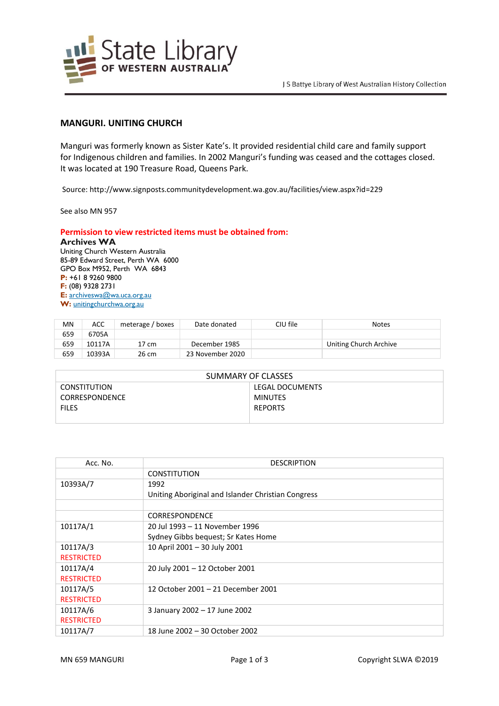

## **MANGURI. UNITING CHURCH**

Manguri was formerly known as Sister Kate's. It provided residential child care and family support for Indigenous children and families. In 2002 Manguri's funding was ceased and the cottages closed. It was located at 190 Treasure Road, Queens Park.

Source: http://www.signposts.communitydevelopment.wa.gov.au/facilities/view.aspx?id=229

See also MN 957

## **Permission to view restricted items must be obtained from:**

**Archives WA** Uniting Church Western Australia 85-89 Edward Street, Perth WA 6000 GPO Box M952, Perth WA 6843 **P:** +61 8 9260 9800 **F:** (08) 9328 2731 **E:** [archiveswa@wa.uca.org.au](https://aus01.safelinks.protection.outlook.com/?url=http%3A%2F%2Farchiveswa%40wa.uca.org.au%2F&data=04%7C01%7Cannette.delbianco%40slwa.wa.gov.au%7Ceb887ad3b8ca44e5505c08d8bb5493ad%7Cc1ae0ae2d5044287b6f47eafd6648d22%7C0%7C0%7C637465319229725013%7CUnknown%7CTWFpbGZsb3d8eyJWIjoiMC4wLjAwMDAiLCJQIjoiV2luMzIiLCJBTiI6Ik1haWwiLCJXVCI6Mn0%3D%7C1000&sdata=qWph%2FnpYcFkeyRuYU7B7oASgMSZto78hzjEw4kvrIaQ%3D&reserved=0) W: [unitingchurchwa.org.au](https://aus01.safelinks.protection.outlook.com/?url=http%3A%2F%2Fwww.unitingchurchwa.org.au%2F&data=04%7C01%7Cannette.delbianco%40slwa.wa.gov.au%7Ceb887ad3b8ca44e5505c08d8bb5493ad%7Cc1ae0ae2d5044287b6f47eafd6648d22%7C0%7C0%7C637465319229735016%7CUnknown%7CTWFpbGZsb3d8eyJWIjoiMC4wLjAwMDAiLCJQIjoiV2luMzIiLCJBTiI6Ik1haWwiLCJXVCI6Mn0%3D%7C1000&sdata=3vif4iZwb4umN9TH%2B1gho3VchgZuVnVSDH61XXrXjkE%3D&reserved=0)

| <b>MN</b> | ACC    | meterage / boxes | Date donated     | CIU file | <b>Notes</b>           |
|-----------|--------|------------------|------------------|----------|------------------------|
| 659       | 6705A  |                  |                  |          |                        |
| 659       | 10117A | 17 cm            | December 1985    |          | Uniting Church Archive |
| 659       | 10393A | 26 cm            | 23 November 2020 |          |                        |

| SUMMARY OF CLASSES  |                 |  |  |  |
|---------------------|-----------------|--|--|--|
| <b>CONSTITUTION</b> | LEGAL DOCUMENTS |  |  |  |
| CORRESPONDENCE      | <b>MINUTES</b>  |  |  |  |
| <b>FILES</b>        | <b>REPORTS</b>  |  |  |  |
|                     |                 |  |  |  |

| Acc. No.          | <b>DESCRIPTION</b>                                 |
|-------------------|----------------------------------------------------|
|                   | <b>CONSTITUTION</b>                                |
| 10393A/7          | 1992                                               |
|                   | Uniting Aboriginal and Islander Christian Congress |
|                   |                                                    |
|                   | <b>CORRESPONDENCE</b>                              |
| 10117A/1          | 20 Jul 1993 - 11 November 1996                     |
|                   | Sydney Gibbs bequest; Sr Kates Home                |
| 10117A/3          | 10 April 2001 - 30 July 2001                       |
| <b>RESTRICTED</b> |                                                    |
| 10117A/4          | 20 July 2001 - 12 October 2001                     |
| <b>RESTRICTED</b> |                                                    |
| 10117A/5          | 12 October 2001 - 21 December 2001                 |
| <b>RESTRICTED</b> |                                                    |
| 10117A/6          | 3 January 2002 - 17 June 2002                      |
| <b>RESTRICTED</b> |                                                    |
| 10117A/7          | 18 June 2002 - 30 October 2002                     |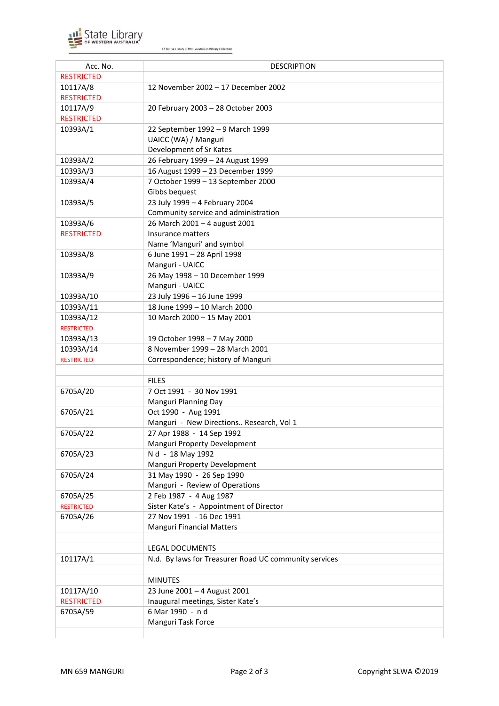

J S Battye Library of West Australian History Collection

| Acc. No.               | <b>DESCRIPTION</b>                                    |
|------------------------|-------------------------------------------------------|
| <b>RESTRICTED</b>      |                                                       |
| 10117A/8               | 12 November 2002 - 17 December 2002                   |
| <b>RESTRICTED</b>      |                                                       |
| 10117A/9               | 20 February 2003 - 28 October 2003                    |
| <b>RESTRICTED</b>      |                                                       |
| 10393A/1               | 22 September 1992 - 9 March 1999                      |
|                        | UAICC (WA) / Manguri                                  |
|                        | Development of Sr Kates                               |
| 10393A/2               | 26 February 1999 - 24 August 1999                     |
| 10393A/3               | 16 August 1999 - 23 December 1999                     |
| 10393A/4               | 7 October 1999 - 13 September 2000                    |
|                        | Gibbs bequest                                         |
| 10393A/5               | 23 July 1999 - 4 February 2004                        |
|                        | Community service and administration                  |
| 10393A/6               | 26 March 2001 - 4 august 2001                         |
| <b>RESTRICTED</b>      | Insurance matters                                     |
|                        | Name 'Manguri' and symbol                             |
| 10393A/8               | 6 June 1991 - 28 April 1998                           |
|                        | Manguri - UAICC                                       |
| 10393A/9               | 26 May 1998 - 10 December 1999                        |
|                        | Manguri - UAICC                                       |
|                        | 23 July 1996 - 16 June 1999                           |
| 10393A/10<br>10393A/11 | 18 June 1999 - 10 March 2000                          |
|                        |                                                       |
| 10393A/12              | 10 March 2000 - 15 May 2001                           |
| <b>RESTRICTED</b>      |                                                       |
| 10393A/13              | 19 October 1998 - 7 May 2000                          |
| 10393A/14              | 8 November 1999 - 28 March 2001                       |
| <b>RESTRICTED</b>      | Correspondence; history of Manguri                    |
|                        |                                                       |
|                        | <b>FILES</b>                                          |
| 6705A/20               | 7 Oct 1991 - 30 Nov 1991                              |
|                        | Manguri Planning Day                                  |
| 6705A/21               | Oct 1990 - Aug 1991                                   |
|                        | Manguri - New Directions Research, Vol 1              |
| 6705A/22               | 27 Apr 1988 - 14 Sep 1992                             |
|                        | Manguri Property Development                          |
| 6705A/23               | N d - 18 May 1992                                     |
|                        | Manguri Property Development                          |
| 6705A/24               | 31 May 1990 - 26 Sep 1990                             |
|                        | Manguri - Review of Operations                        |
| 6705A/25               | 2 Feb 1987 - 4 Aug 1987                               |
| <b>RESTRICTED</b>      | Sister Kate's - Appointment of Director               |
| 6705A/26               | 27 Nov 1991 - 16 Dec 1991                             |
|                        | <b>Manguri Financial Matters</b>                      |
|                        |                                                       |
|                        | <b>LEGAL DOCUMENTS</b>                                |
| 10117A/1               | N.d. By laws for Treasurer Road UC community services |
|                        |                                                       |
|                        | <b>MINUTES</b>                                        |
| 10117A/10              | 23 June 2001 - 4 August 2001                          |
| <b>RESTRICTED</b>      | Inaugural meetings, Sister Kate's                     |
| 6705A/59               | 6 Mar 1990 - n d                                      |
|                        | Manguri Task Force                                    |
|                        |                                                       |